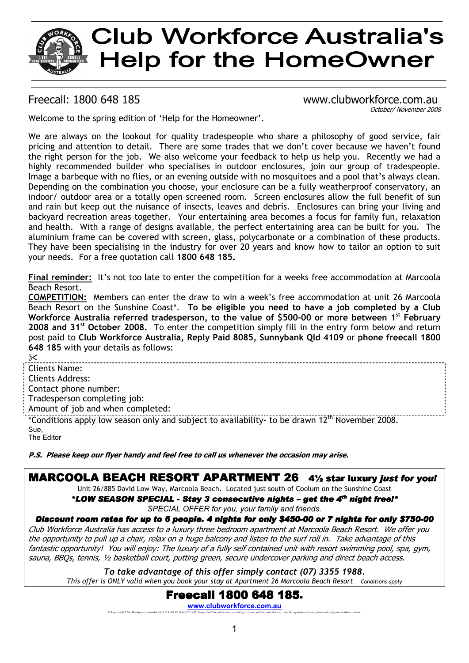# **Club Workforce Australia's Help for the HomeOwner**

#### Freecall: 1800 648 185 www.clubworkforce.com.au October/ November 2008

Welcome to the spring edition of 'Help for the Homeowner'.

We are always on the lookout for quality tradespeople who share a philosophy of good service, fair pricing and attention to detail. There are some trades that we don't cover because we haven't found the right person for the job. We also welcome your feedback to help us help you. Recently we had a highly recommended builder who specialises in outdoor enclosures, join our group of tradespeople. Image a barbeque with no flies, or an evening outside with no mosquitoes and a pool that's always clean. Depending on the combination you choose, your enclosure can be a fully weatherproof conservatory, an indoor/ outdoor area or a totally open screened room. Screen enclosures allow the full benefit of sun and rain but keep out the nuisance of insects, leaves and debris. Enclosures can bring your living and backyard recreation areas together. Your entertaining area becomes a focus for family fun, relaxation and health. With a range of designs available, the perfect entertaining area can be built for you. The aluminium frame can be covered with screen, glass, polycarbonate or a combination of these products. They have been specialising in the industry for over 20 years and know how to tailor an option to suit your needs. For a free quotation call **1800 648 185.** 

**Final reminder:** It's not too late to enter the competition for a weeks free accommodation at Marcoola Beach Resort.

**COMPETITION:** Members can enter the draw to win a week's free accommodation at unit 26 Marcoola Beach Resort on the Sunshine Coast\*. **To be eligible you need to have a job completed by a Club Workforce Australia referred tradesperson, to the value of \$500-00 or more between 1st February 2008 and 31st October 2008.** To enter the competition simply fill in the entry form below and return post paid to **Club Workforce Australia, Reply Paid 8085, Sunnybank Qld 4109** or **phone freecall 1800 648 185** with your details as follows:

 $\chi$ Clients Name: Clients Address: Contact phone number: Tradesperson completing job: Amount of job and when completed: \*Conditions apply low season only and subject to availability- to be drawn 12th November 2008. Sue, The Editor

**P.S. Please keep our flyer handy and feel free to call us whenever the occasion may arise***.* 

# MARCOOLA BEACH RESORT APARTMENT 264½ star luxury *just for you!*

Unit 26/885 David Low Way, Marcoola Beach. Located just south of Coolum on the Sunshine Coast

*\*LOW SEASON SPECIAL - SEASON SPECIAL - Stay 3 consecutive nights Stay 3 consecutive nights Stay nights – get the 4 get the 4th night free!\* free!\* SPECIAL OFFER for you, your family and friends.* 

### *Discount room rates for up to 6 people. 4 nights for only \$450-00 or 7 nights for only \$750-00*

Club Workforce Australia has access to a luxury three bedroom apartment at Marcoola Beach Resort. We offer you the opportunity to pull up a chair, relax on a huge balcony and listen to the surf roll in. Take advantage of this fantastic opportunity! You will enjoy: The luxury of a fully self contained unit with resort swimming pool, spa, gym, sauna, BBQs, tennis, ½ basketball court, putting green, secure undercover parking and direct beach access.

*To take advantage of this offer simply contact (07) 3355 1988. This offer is ONLY valid when you book your stay at Apartment 26 Marcoola Beach Resort Conditions apply*

# **Freecall 1800 648 185.**

**WWW.CIUDWOTKfOTCE.COM.AU**<br>© Copyright Club Workforce Australia Pty Ltd CAN 073191358 1996. No part of this publication including artwork, articles and devices may be reproduced in any form without prior written consent.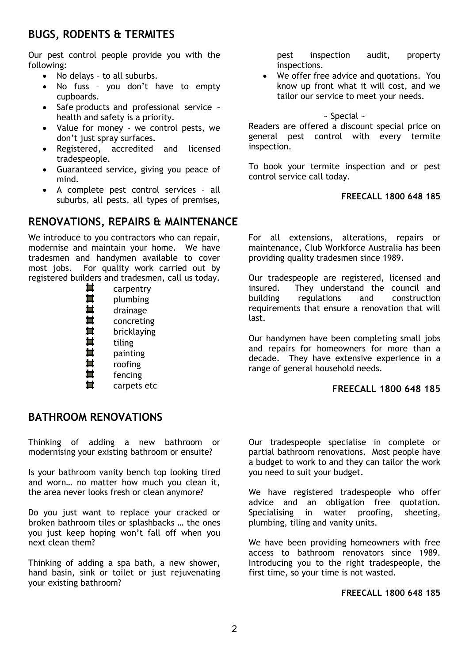# **BUGS, RODENTS & TERMITES**

Our pest control people provide you with the following:

- No delays to all suburbs.
- No fuss you don't have to empty cupboards.
- Safe products and professional service health and safety is a priority.
- Value for money we control pests, we don't just spray surfaces.
- Registered, accredited and licensed tradespeople.
- Guaranteed service, giving you peace of mind.
- A complete pest control services all suburbs, all pests, all types of premises,

# **RENOVATIONS, REPAIRS & MAINTENANCE**

We introduce to you contractors who can repair, modernise and maintain your home. We have tradesmen and handymen available to cover most jobs. For quality work carried out by registered builders and tradesmen, call us today.

| 闔 | carpentry   |
|---|-------------|
| 闔 | plumbing    |
| 量 | drainage    |
| 量 | concreting  |
| 重 | bricklaying |
| 量 | tiling      |
| 量 | painting    |
| 量 | roofing     |
| 重 | fencing     |
| 量 | carpets etc |

# **BATHROOM RENOVATIONS**

Thinking of adding a new bathroom or modernising your existing bathroom or ensuite?

Is your bathroom vanity bench top looking tired and worn… no matter how much you clean it, the area never looks fresh or clean anymore?

Do you just want to replace your cracked or broken bathroom tiles or splashbacks … the ones you just keep hoping won't fall off when you next clean them?

Thinking of adding a spa bath, a new shower, hand basin, sink or toilet or just rejuvenating your existing bathroom?

pest inspection audit, property inspections.

• We offer free advice and quotations. You know up front what it will cost, and we tailor our service to meet your needs.

~ Special ~

Readers are offered a discount special price on general pest control with every termite inspection.

To book your termite inspection and or pest control service call today.

#### **FREECALL 1800 648 185**

For all extensions, alterations, repairs or maintenance, Club Workforce Australia has been providing quality tradesmen since 1989.

Our tradespeople are registered, licensed and insured. They understand the council and building regulations and construction requirements that ensure a renovation that will last.

Our handymen have been completing small jobs and repairs for homeowners for more than a decade. They have extensive experience in a range of general household needs.

#### **FREECALL 1800 648 185**

Our tradespeople specialise in complete or partial bathroom renovations. Most people have a budget to work to and they can tailor the work you need to suit your budget.

We have registered tradespeople who offer advice and an obligation free quotation. Specialising in water proofing, sheeting, plumbing, tiling and vanity units.

We have been providing homeowners with free access to bathroom renovators since 1989. Introducing you to the right tradespeople, the first time, so your time is not wasted.

#### **FREECALL 1800 648 185**